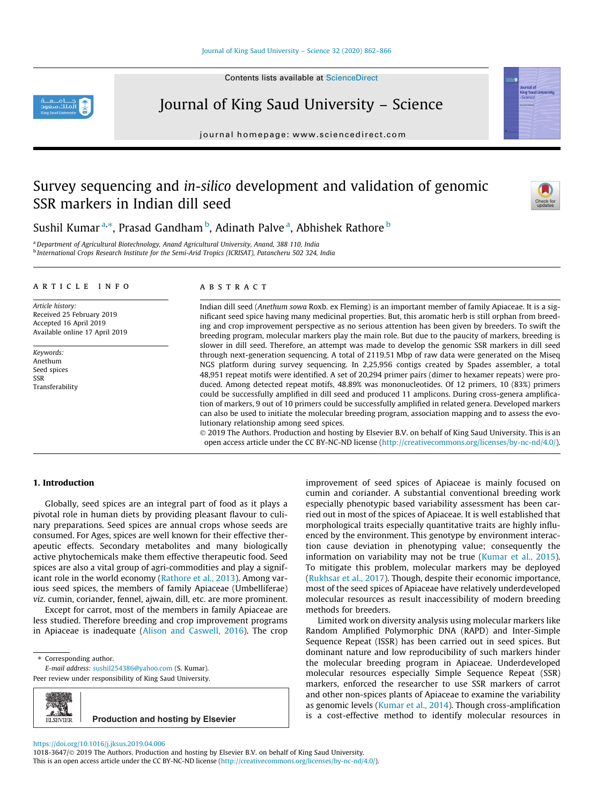Contents lists available at [ScienceDirect](http://www.sciencedirect.com/science/journal/10183647)



Journal of King Saud University – Science

journal homepage: [www.sciencedirect.com](http://www.sciencedirect.com)

# Survey sequencing and in-silico development and validation of genomic SSR markers in Indian dill seed



Sushil Kumar <sup>a,</sup>\*, Prasad Gandham <sup>b</sup>, Adinath Palve <sup>a</sup>, Abhishek Rathore <sup>b</sup>

<sup>a</sup>Department of Agricultural Biotechnology, Anand Agricultural University, Anand, 388 110, India <sup>b</sup> International Crops Research Institute for the Semi-Arid Tropics (ICRISAT), Patancheru 502 324, India

## article info

Article history: Received 25 February 2019 Accepted 16 April 2019 Available online 17 April 2019

Keywords: Anethum Seed spices SSR Transferability

## ABSTRACT

Indian dill seed (Anethum sowa Roxb. ex Fleming) is an important member of family Apiaceae. It is a significant seed spice having many medicinal properties. But, this aromatic herb is still orphan from breeding and crop improvement perspective as no serious attention has been given by breeders. To swift the breeding program, molecular markers play the main role. But due to the paucity of markers, breeding is slower in dill seed. Therefore, an attempt was made to develop the genomic SSR markers in dill seed through next-generation sequencing. A total of 2119.51 Mbp of raw data were generated on the Miseq NGS platform during survey sequencing. In 2,25,956 contigs created by Spades assembler, a total 48,951 repeat motifs were identified. A set of 20,294 primer pairs (dimer to hexamer repeats) were produced. Among detected repeat motifs, 48.89% was mononucleotides. Of 12 primers, 10 (83%) primers could be successfully amplified in dill seed and produced 11 amplicons. During cross-genera amplification of markers, 9 out of 10 primers could be successfully amplified in related genera. Developed markers can also be used to initiate the molecular breeding program, association mapping and to assess the evolutionary relationship among seed spices.

 2019 The Authors. Production and hosting by Elsevier B.V. on behalf of King Saud University. This is an open access article under the CC BY-NC-ND license (<http://creativecommons.org/licenses/by-nc-nd/4.0/>).

# 1. Introduction

Globally, seed spices are an integral part of food as it plays a pivotal role in human diets by providing pleasant flavour to culinary preparations. Seed spices are annual crops whose seeds are consumed. For Ages, spices are well known for their effective therapeutic effects. Secondary metabolites and many biologically active phytochemicals make them effective therapeutic food. Seed spices are also a vital group of agri-commodities and play a significant role in the world economy ([Rathore et al., 2013](#page-4-0)). Among various seed spices, the members of family Apiaceae (Umbelliferae) viz. cumin, coriander, fennel, ajwain, dill, etc. are more prominent.

Except for carrot, most of the members in family Apiaceae are less studied. Therefore breeding and crop improvement programs in Apiaceae is inadequate ([Alison and Caswell, 2016](#page-3-0)). The crop

⇑ Corresponding author.

E-mail address: [sushil254386@yahoo.com](mailto:sushil254386@yahoo.com) (S. Kumar).

Peer review under responsibility of King Saud University.



improvement of seed spices of Apiaceae is mainly focused on cumin and coriander. A substantial conventional breeding work especially phenotypic based variability assessment has been carried out in most of the spices of Apiaceae. It is well established that morphological traits especially quantitative traits are highly influenced by the environment. This genotype by environment interaction cause deviation in phenotyping value; consequently the information on variability may not be true [\(Kumar et al., 2015\)](#page-4-0). To mitigate this problem, molecular markers may be deployed ([Rukhsar et al., 2017](#page-4-0)). Though, despite their economic importance, most of the seed spices of Apiaceae have relatively underdeveloped molecular resources as result inaccessibility of modern breeding methods for breeders.

Limited work on diversity analysis using molecular markers like Random Amplified Polymorphic DNA (RAPD) and Inter-Simple Sequence Repeat (ISSR) has been carried out in seed spices. But dominant nature and low reproducibility of such markers hinder the molecular breeding program in Apiaceae. Underdeveloped molecular resources especially Simple Sequence Repeat (SSR) markers, enforced the researcher to use SSR markers of carrot and other non-spices plants of Apiaceae to examine the variability as genomic levels [\(Kumar et al., 2014](#page-4-0)). Though cross-amplification is a cost-effective method to identify molecular resources in

#### <https://doi.org/10.1016/j.jksus.2019.04.006>

1018-3647/© 2019 The Authors. Production and hosting by Elsevier B.V. on behalf of King Saud University. This is an open access article under the CC BY-NC-ND license [\(http://creativecommons.org/licenses/by-nc-nd/4.0/](http://creativecommons.org/licenses/by-nc-nd/4.0/)).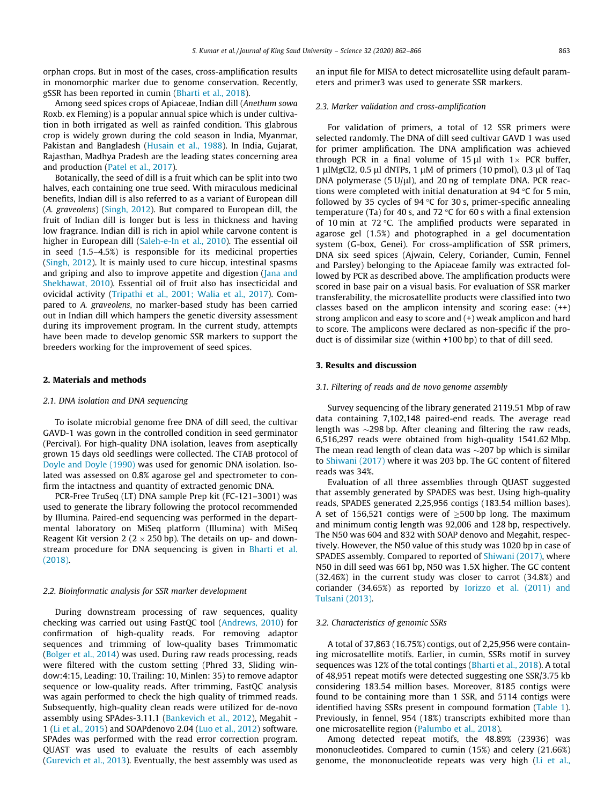orphan crops. But in most of the cases, cross-amplification results in monomorphic marker due to genome conservation. Recently, gSSR has been reported in cumin [\(Bharti et al., 2018](#page-3-0)).

Among seed spices crops of Apiaceae, Indian dill (Anethum sowa Roxb. ex Fleming) is a popular annual spice which is under cultivation in both irrigated as well as rainfed condition. This glabrous crop is widely grown during the cold season in India, Myanmar, Pakistan and Bangladesh [\(Husain et al., 1988](#page-4-0)). In India, Gujarat, Rajasthan, Madhya Pradesh are the leading states concerning area and production [\(Patel et al., 2017\)](#page-4-0).

Botanically, the seed of dill is a fruit which can be split into two halves, each containing one true seed. With miraculous medicinal benefits, Indian dill is also referred to as a variant of European dill (A. graveolens) [\(Singh, 2012\)](#page-4-0). But compared to European dill, the fruit of Indian dill is longer but is less in thickness and having low fragrance. Indian dill is rich in apiol while carvone content is higher in European dill ([Saleh-e-In et al., 2010\)](#page-4-0). The essential oil in seed (1.5–4.5%) is responsible for its medicinal properties ([Singh, 2012\)](#page-4-0). It is mainly used to cure hiccup, intestinal spasms and griping and also to improve appetite and digestion ([Jana and](#page-4-0) [Shekhawat, 2010](#page-4-0)). Essential oil of fruit also has insecticidal and ovicidal activity [\(Tripathi et al., 2001; Walia et al., 2017\)](#page-4-0). Compared to A. graveolens, no marker-based study has been carried out in Indian dill which hampers the genetic diversity assessment during its improvement program. In the current study, attempts have been made to develop genomic SSR markers to support the breeders working for the improvement of seed spices.

## 2. Materials and methods

## 2.1. DNA isolation and DNA sequencing

To isolate microbial genome free DNA of dill seed, the cultivar GAVD-1 was gown in the controlled condition in seed germinator (Percival). For high-quality DNA isolation, leaves from aseptically grown 15 days old seedlings were collected. The CTAB protocol of [Doyle and Doyle \(1990\)](#page-4-0) was used for genomic DNA isolation. Isolated was assessed on 0.8% agarose gel and spectrometer to confirm the intactness and quantity of extracted genomic DNA.

PCR-Free TruSeq (LT) DNA sample Prep kit (FC-121–3001) was used to generate the library following the protocol recommended by Illumina. Paired-end sequencing was performed in the departmental laboratory on MiSeq platform (Illumina) with MiSeq Reagent Kit version 2 ( $2 \times 250$  bp). The details on up- and downstream procedure for DNA sequencing is given in [Bharti et al.](#page-3-0) [\(2018\).](#page-3-0)

## 2.2. Bioinformatic analysis for SSR marker development

During downstream processing of raw sequences, quality checking was carried out using FastQC tool ([Andrews, 2010](#page-3-0)) for confirmation of high-quality reads. For removing adaptor sequences and trimming of low-quality bases Trimmomatic ([Bolger et al., 2014](#page-4-0)) was used. During raw reads processing, reads were filtered with the custom setting (Phred 33, Sliding window:4:15, Leading: 10, Trailing: 10, Minlen: 35) to remove adaptor sequence or low-quality reads. After trimming, FastQC analysis was again performed to check the high quality of trimmed reads. Subsequently, high-quality clean reads were utilized for de-novo assembly using SPAdes-3.11.1 ([Bankevich et al., 2012](#page-3-0)), Megahit - 1 ([Li et al., 2015\)](#page-4-0) and SOAPdenovo 2.04 [\(Luo et al., 2012](#page-4-0)) software. SPAdes was performed with the read error correction program. QUAST was used to evaluate the results of each assembly ([Gurevich et al., 2013](#page-4-0)). Eventually, the best assembly was used as an input file for MISA to detect microsatellite using default parameters and primer3 was used to generate SSR markers.

## 2.3. Marker validation and cross-amplification

For validation of primers, a total of 12 SSR primers were selected randomly. The DNA of dill seed cultivar GAVD 1 was used for primer amplification. The DNA amplification was achieved through PCR in a final volume of 15  $\mu$ l with 1 × PCR buffer, 1 µlMgCl2, 0.5 µl dNTPs, 1 µM of primers (10 pmol), 0.3 µl of Taq DNA polymerase (5  $U\mu$ l), and 20 ng of template DNA. PCR reactions were completed with initial denaturation at 94  $\degree$ C for 5 min, followed by 35 cycles of 94  $\degree$ C for 30 s, primer-specific annealing temperature (Ta) for 40 s, and 72  $\degree$ C for 60 s with a final extension of 10 min at 72  $\degree$ C. The amplified products were separated in agarose gel (1.5%) and photographed in a gel documentation system (G-box, Genei). For cross-amplification of SSR primers, DNA six seed spices (Ajwain, Celery, Coriander, Cumin, Fennel and Parsley) belonging to the Apiaceae family was extracted followed by PCR as described above. The amplification products were scored in base pair on a visual basis. For evaluation of SSR marker transferability, the microsatellite products were classified into two classes based on the amplicon intensity and scoring ease: (++) strong amplicon and easy to score and (+) weak amplicon and hard to score. The amplicons were declared as non-specific if the product is of dissimilar size (within +100 bp) to that of dill seed.

# 3. Results and discussion

## 3.1. Filtering of reads and de novo genome assembly

Survey sequencing of the library generated 2119.51 Mbp of raw data containing 7,102,148 paired-end reads. The average read length was  $\sim$ 298 bp. After cleaning and filtering the raw reads, 6,516,297 reads were obtained from high-quality 1541.62 Mbp. The mean read length of clean data was  $\sim$ 207 bp which is similar to [Shiwani \(2017\)](#page-4-0) where it was 203 bp. The GC content of filtered reads was 34%.

Evaluation of all three assemblies through QUAST suggested that assembly generated by SPADES was best. Using high-quality reads, SPADES generated 2,25,956 contigs (183.54 million bases). A set of 156,521 contigs were of  $\geq$ 500 bp long. The maximum and minimum contig length was 92,006 and 128 bp, respectively. The N50 was 604 and 832 with SOAP denovo and Megahit, respectively. However, the N50 value of this study was 1020 bp in case of SPADES assembly. Compared to reported of [Shiwani \(2017\),](#page-4-0) where N50 in dill seed was 661 bp, N50 was 1.5X higher. The GC content (32.46%) in the current study was closer to carrot (34.8%) and coriander (34.65%) as reported by [Iorizzo et al. \(2011\) and](#page-4-0) [Tulsani \(2013\)](#page-4-0).

## 3.2. Characteristics of genomic SSRs

A total of 37,863 (16.75%) contigs, out of 2,25,956 were containing microsatellite motifs. Earlier, in cumin, SSRs motif in survey sequences was 12% of the total contings [\(Bharti et al., 2018\)](#page-3-0). A total of 48,951 repeat motifs were detected suggesting one SSR/3.75 kb considering 183.54 million bases. Moreover, 8185 contigs were found to be containing more than 1 SSR, and 5114 contigs were identified having SSRs present in compound formation [\(Table 1\)](#page-2-0). Previously, in fennel, 954 (18%) transcripts exhibited more than one microsatellite region [\(Palumbo et al., 2018](#page-4-0)).

Among detected repeat motifs, the 48.89% (23936) was mononucleotides. Compared to cumin (15%) and celery (21.66%) genome, the mononucleotide repeats was very high ([Li et al.,](#page-4-0)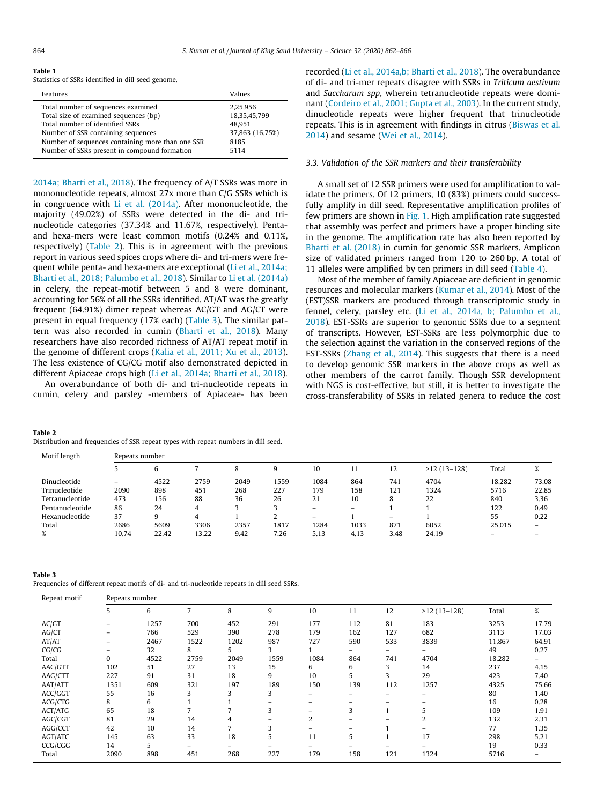<span id="page-2-0"></span>

|--|--|

Statistics of SSRs identified in dill seed genome.

| Features                                                                    | Values                   |
|-----------------------------------------------------------------------------|--------------------------|
| Total number of sequences examined<br>Total size of examined sequences (bp) | 2,25,956<br>18,35,45,799 |
| Total number of identified SSRs                                             | 48.951                   |
| Number of SSR containing sequences                                          | 37,863 (16.75%)          |
| Number of sequences containing more than one SSR                            | 8185                     |
| Number of SSRs present in compound formation                                | 5114                     |

[2014a; Bharti et al., 2018](#page-4-0)). The frequency of A/T SSRs was more in mononucleotide repeats, almost 27x more than C/G SSRs which is in congruence with [Li et al. \(2014a\).](#page-4-0) After mononucleotide, the majority (49.02%) of SSRs were detected in the di- and trinucleotide categories (37.34% and 11.67%, respectively). Pentaand hexa-mers were least common motifs (0.24% and 0.11%, respectively) (Table 2). This is in agreement with the previous report in various seed spices crops where di- and tri-mers were frequent while penta- and hexa-mers are exceptional [\(Li et al., 2014a;](#page-4-0) [Bharti et al., 2018; Palumbo et al., 2018](#page-4-0)). Similar to [Li et al. \(2014a\)](#page-4-0) in celery, the repeat-motif between 5 and 8 were dominant, accounting for 56% of all the SSRs identified. AT/AT was the greatly frequent (64.91%) dimer repeat whereas AC/GT and AG/CT were present in equal frequency (17% each) (Table 3). The similar pattern was also recorded in cumin ([Bharti et al., 2018](#page-3-0)). Many researchers have also recorded richness of AT/AT repeat motif in the genome of different crops ([Kalia et al., 2011; Xu et al., 2013\)](#page-4-0). The less existence of CG/CG motif also demonstrated depicted in different Apiaceae crops high ([Li et al., 2014a; Bharti et al., 2018\)](#page-4-0).

An overabundance of both di- and tri-nucleotide repeats in cumin, celery and parsley -members of Apiaceae- has been

| Table 2                                                                            |  |
|------------------------------------------------------------------------------------|--|
| Distribution and frequencies of SSR repeat types with repeat numbers in dill seed. |  |

recorded [\(Li et al., 2014a,b; Bharti et al., 2018](#page-4-0)). The overabundance of di- and tri-mer repeats disagree with SSRs in Triticum aestivum and Saccharum spp, wherein tetranucleotide repeats were dominant ([Cordeiro et al., 2001; Gupta et al., 2003](#page-4-0)). In the current study, dinucleotide repeats were higher frequent that trinucleotide repeats. This is in agreement with findings in citrus [\(Biswas et al.](#page-4-0) [2014\)](#page-4-0) and sesame [\(Wei et al., 2014](#page-4-0)).

## 3.3. Validation of the SSR markers and their transferability

A small set of 12 SSR primers were used for amplification to validate the primers. Of 12 primers, 10 (83%) primers could successfully amplify in dill seed. Representative amplification profiles of few primers are shown in [Fig. 1](#page-3-0). High amplification rate suggested that assembly was perfect and primers have a proper binding site in the genome. The amplification rate has also been reported by [Bharti et al. \(2018\)](#page-3-0) in cumin for genomic SSR markers. Amplicon size of validated primers ranged from 120 to 260 bp. A total of 11 alleles were amplified by ten primers in dill seed ([Table 4\)](#page-3-0).

Most of the member of family Apiaceae are deficient in genomic resources and molecular markers ([Kumar et al., 2014](#page-4-0)). Most of the (EST)SSR markers are produced through transcriptomic study in fennel, celery, parsley etc. [\(Li et al., 2014a, b; Palumbo et al.,](#page-4-0) [2018\)](#page-4-0). EST-SSRs are superior to genomic SSRs due to a segment of transcripts. However, EST-SSRs are less polymorphic due to the selection against the variation in the conserved regions of the EST-SSRs [\(Zhang et al., 2014](#page-4-0)). This suggests that there is a need to develop genomic SSR markers in the above crops as well as other members of the carrot family. Though SSR development with NGS is cost-effective, but still, it is better to investigate the cross-transferability of SSRs in related genera to reduce the cost

| Motif length    | Repeats number           |       |       |      |      |                          |      |      |               |        |                   |
|-----------------|--------------------------|-------|-------|------|------|--------------------------|------|------|---------------|--------|-------------------|
|                 |                          | h     |       |      |      | 10                       | 11   | 12   | $>12(13-128)$ | Total  | %                 |
| Dinucleotide    | $\overline{\phantom{0}}$ | 4522  | 2759  | 2049 | 1559 | 1084                     | 864  | 741  | 4704          | 18.282 | 73.08             |
| Trinucleotide   | 2090                     | 898   | 451   | 268  | 227  | 179                      | 158  | 121  | 1324          | 5716   | 22.85             |
| Tetranucleotide | 473                      | 156   | 88    | 36   | 26   | 21                       | 10   |      | 22            | 840    | 3.36              |
| Pentanucleotide | 86                       | 24    | 4     |      |      |                          |      |      |               | 122    | 0.49              |
| Hexanucleotide  | 37                       |       | 4     |      |      | $\overline{\phantom{0}}$ |      | -    |               | 55     | 0.22              |
| Total           | 2686                     | 5609  | 3306  | 2357 | 1817 | 1284                     | 1033 | 871  | 6052          | 25.015 | $\qquad \qquad -$ |
|                 | 10.74                    | 22.42 | 13.22 | 9.42 | 7.26 | 5.13                     | 4.13 | 3.48 | 24.19         |        |                   |
|                 |                          |       |       |      |      |                          |      |      |               |        |                   |

|--|--|

Frequencies of different repeat motifs of di- and tri-nucleotide repeats in dill seed SSRs.

| Repeat motif |          | Repeats number |      |      |      |      |     |     |               |        |       |  |
|--------------|----------|----------------|------|------|------|------|-----|-----|---------------|--------|-------|--|
|              | 5        | 6              |      | 8    | 9    | 10   | 11  | 12  | $>12(13-128)$ | Total  | $\%$  |  |
| AC/GT        | -        | 1257           | 700  | 452  | 291  | 177  | 112 | 81  | 183           | 3253   | 17.79 |  |
| AG/CT        | -        | 766            | 529  | 390  | 278  | 179  | 162 | 127 | 682           | 3113   | 17.03 |  |
| AT/AT        | -        | 2467           | 1522 | 1202 | 987  | 727  | 590 | 533 | 3839          | 11,867 | 64.91 |  |
| CG/CG        |          | 32             | 8    | 5.   | 3    |      | -   |     | Ξ.            | 49     | 0.27  |  |
| Total        | $\bf{0}$ | 4522           | 2759 | 2049 | 1559 | 1084 | 864 | 741 | 4704          | 18,282 | Ξ.    |  |
| AAC/GTT      | 102      | 51             | 27   | 13   | 15   | 6    | 6   | 3   | 14            | 237    | 4.15  |  |
| AAG/CTT      | 227      | 91             | 31   | 18   | 9    | 10   | 5   | 3   | 29            | 423    | 7.40  |  |
| AAT/ATT      | 1351     | 609            | 321  | 197  | 189  | 150  | 139 | 112 | 1257          | 4325   | 75.66 |  |
| ACC/GGT      | 55       | 16             | 3    | 3    | 3    | -    | -   | -   | -             | 80     | 1.40  |  |
| ACG/CTG      | 8        | 6              |      |      |      |      |     | -   |               | 16     | 0.28  |  |
| ACT/ATG      | 65       | 18             |      |      | 3    |      | 3   | 1   | 5             | 109    | 1.91  |  |
| AGC/CGT      | 81       | 29             | 14   | 4    |      | 2    | -   | -   |               | 132    | 2.31  |  |
| AGG/CCT      | 42       | 10             | 14   |      | 3    | -    | -   |     | -             | 77     | 1.35  |  |
| AGT/ATC      | 145      | 63             | 33   | 18   | 5    | 11   | 5   |     | 17            | 298    | 5.21  |  |
| CCG/CGG      | 14       | 5              | -    | -    |      |      |     |     | -             | 19     | 0.33  |  |
| Total        | 2090     | 898            | 451  | 268  | 227  | 179  | 158 | 121 | 1324          | 5716   |       |  |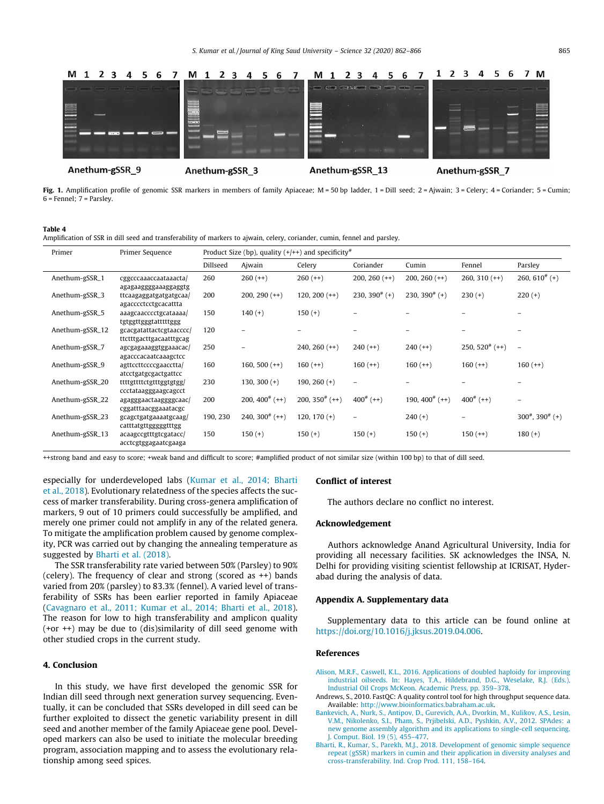<span id="page-3-0"></span>

Fig. 1. Amplification profile of genomic SSR markers in members of family Apiaceae; M = 50 bp ladder, 1 = Dill seed; 2 = Ajwain; 3 = Celery; 4 = Coriander; 5 = Cumin; 6 = Fennel; 7 = Parsley.

#### Table 4

Amplification of SSR in dill seed and transferability of markers to ajwain, celery, coriander, cumin, fennel and parsley.

| Primer          | Primer Sequence                                    | Product Size (bp), quality $(+/++)$ and specificity <sup>#</sup> |                              |                   |                  |                      |                      |                                        |
|-----------------|----------------------------------------------------|------------------------------------------------------------------|------------------------------|-------------------|------------------|----------------------|----------------------|----------------------------------------|
|                 |                                                    | Dillseed                                                         | Ajwain                       | Celery            | Coriander        | Cumin                | Fennel               | Parsley                                |
| Anethum-gSSR_1  | cggcccaaaccaataaacta/<br>agagaaggggaaaggaggtg      | 260                                                              | $260 (++)$                   | $260 (++)$        | $200, 260 (++)$  | $200, 260 (++)$      | $260, 310 (++)$      | 260, 610 <sup><math>#</math></sup> (+) |
| Anethum-gSSR_3  | ttcaagaggatgatgatgcaa/<br>agacccctcctgcacattta     | 200                                                              | $200, 290 (++)$              | $120, 200 (++)$   | 230, 390 $#$ (+) | 230, 390 $#$ (+)     | $230 (+)$            | $220 (+)$                              |
| Anethum-gSSR_5  | aaagcaacccctgcataaaa/<br>tgtggttgggtatttttggg      | 150                                                              | $140 (+)$                    | $150 (+)$         |                  |                      |                      |                                        |
| Anethum-gSSR_12 | gcacgatattactcgtaacccc/<br>ttctttgacttgacaatttgcag | 120                                                              |                              |                   |                  |                      |                      |                                        |
| Anethum-gSSR_7  | agcgagaaaggtggaaacac/<br>agacccacaatcaaagctcc      | 250                                                              |                              | $240, 260 (++)$   | $240 (++)$       | $240 (++)$           | $250, 520^{\#}$ (++) | $\overline{\phantom{a}}$               |
| Anethum-gSSR_9  | agttccttccccgaacctta/<br>atcctgatgcgactgattcc      | 160                                                              | 160, 500 $(++)$              | $160 (++)$        | $160 (++)$       | $160 (++)$           | $160 (++)$           | $160 (++)$                             |
| Anethum-gSSR_20 | ttttgttttctgtttggtgtgg/<br>ccctataagggaagcagcct    | 230                                                              | $130, 300 (+)$               | 190, 260 $(+)$    |                  |                      |                      |                                        |
| Anethum-gSSR_22 | agagggaactaaggggcaac/<br>cggatttaacggaaatacgc      | 200                                                              | 200, 400 <sup>#</sup> $(++)$ | 200, 350 $#$ (++) | $400^{\#}$ (++)  | 190, $400^{\#}$ (++) | $400^{#} (++)$       |                                        |
| Anethum-gSSR_23 | gcagctgatgaaaatgcaag/<br>catttatgttgggggtttgg      | 190, 230                                                         | 240, 300 $^{\#}$ (++)        | $120, 170 (+)$    | -                | $240 (+)$            |                      | $300^{\#}$ , $390^{\#}$ (+)            |
| Anethum-gSSR_13 | acaagccgtttgtcgatacc/<br>acctcgtggagaatcgaaga      | 150                                                              | $150 (+)$                    | $150 (+)$         | $150 (+)$        | $150 (+)$            | $150 (++)$           | $180 (+)$                              |

++strong band and easy to score; +weak band and difficult to score; #amplified product of not similar size (within 100 bp) to that of dill seed.

especially for underdeveloped labs ([Kumar et al., 2014; Bharti](#page-4-0) [et al., 2018](#page-4-0)). Evolutionary relatedness of the species affects the success of marker transferability. During cross-genera amplification of markers, 9 out of 10 primers could successfully be amplified, and merely one primer could not amplify in any of the related genera. To mitigate the amplification problem caused by genome complexity, PCR was carried out by changing the annealing temperature as suggested by Bharti et al. (2018).

The SSR transferability rate varied between 50% (Parsley) to 90% (celery). The frequency of clear and strong (scored as ++) bands varied from 20% (parsley) to 83.3% (fennel). A varied level of transferability of SSRs has been earlier reported in family Apiaceae ([Cavagnaro et al., 2011; Kumar et al., 2014; Bharti et al., 2018\)](#page-4-0). The reason for low to high transferability and amplicon quality (+or ++) may be due to (dis)similarity of dill seed genome with other studied crops in the current study.

## 4. Conclusion

In this study, we have first developed the genomic SSR for Indian dill seed through next generation survey sequencing. Eventually, it can be concluded that SSRs developed in dill seed can be further exploited to dissect the genetic variability present in dill seed and another member of the family Apiaceae gene pool. Developed markers can also be used to initiate the molecular breeding program, association mapping and to assess the evolutionary relationship among seed spices.

## Conflict of interest

The authors declare no conflict no interest.

## Acknowledgement

Authors acknowledge Anand Agricultural University, India for providing all necessary facilities. SK acknowledges the INSA, N. Delhi for providing visiting scientist fellowship at ICRISAT, Hyderabad during the analysis of data.

## Appendix A. Supplementary data

Supplementary data to this article can be found online at <https://doi.org/10.1016/j.jksus.2019.04.006>.

## References

- [Alison, M.R.F., Caswell, K.L., 2016. Applications of doubled haploidy for improving](http://refhub.elsevier.com/S1018-3647(19)30418-5/h0005) [industrial oilseeds. In: Hayes, T.A., Hildebrand, D.G., Weselake, R.J. \(Eds.\),](http://refhub.elsevier.com/S1018-3647(19)30418-5/h0005) [Industrial Oil Crops McKeon. Academic Press, pp. 359–378.](http://refhub.elsevier.com/S1018-3647(19)30418-5/h0005)
- Andrews, S., 2010. FastQC: A quality control tool for high throughput sequence data. Available: <http://www.bioinformatics.babraham.ac.uk>.
- [Bankevich, A., Nurk, S., Antipov, D., Gurevich, A.A., Dvorkin, M., Kulikov, A.S., Lesin,](http://refhub.elsevier.com/S1018-3647(19)30418-5/h0015) [V.M., Nikolenko, S.I., Pham, S., Prjibelski, A.D., Pyshkin, A.V., 2012. SPAdes: a](http://refhub.elsevier.com/S1018-3647(19)30418-5/h0015) [new genome assembly algorithm and its applications to single-cell sequencing.](http://refhub.elsevier.com/S1018-3647(19)30418-5/h0015) [J. Comput. Biol. 19 \(5\), 455–477.](http://refhub.elsevier.com/S1018-3647(19)30418-5/h0015)
- [Bharti, R., Kumar, S., Parekh, M.J., 2018. Development of genomic simple sequence](http://refhub.elsevier.com/S1018-3647(19)30418-5/h0020) [repeat \(gSSR\) markers in cumin and their application in diversity analyses and](http://refhub.elsevier.com/S1018-3647(19)30418-5/h0020) [cross-transferability. Ind. Crop Prod. 111, 158–164](http://refhub.elsevier.com/S1018-3647(19)30418-5/h0020).